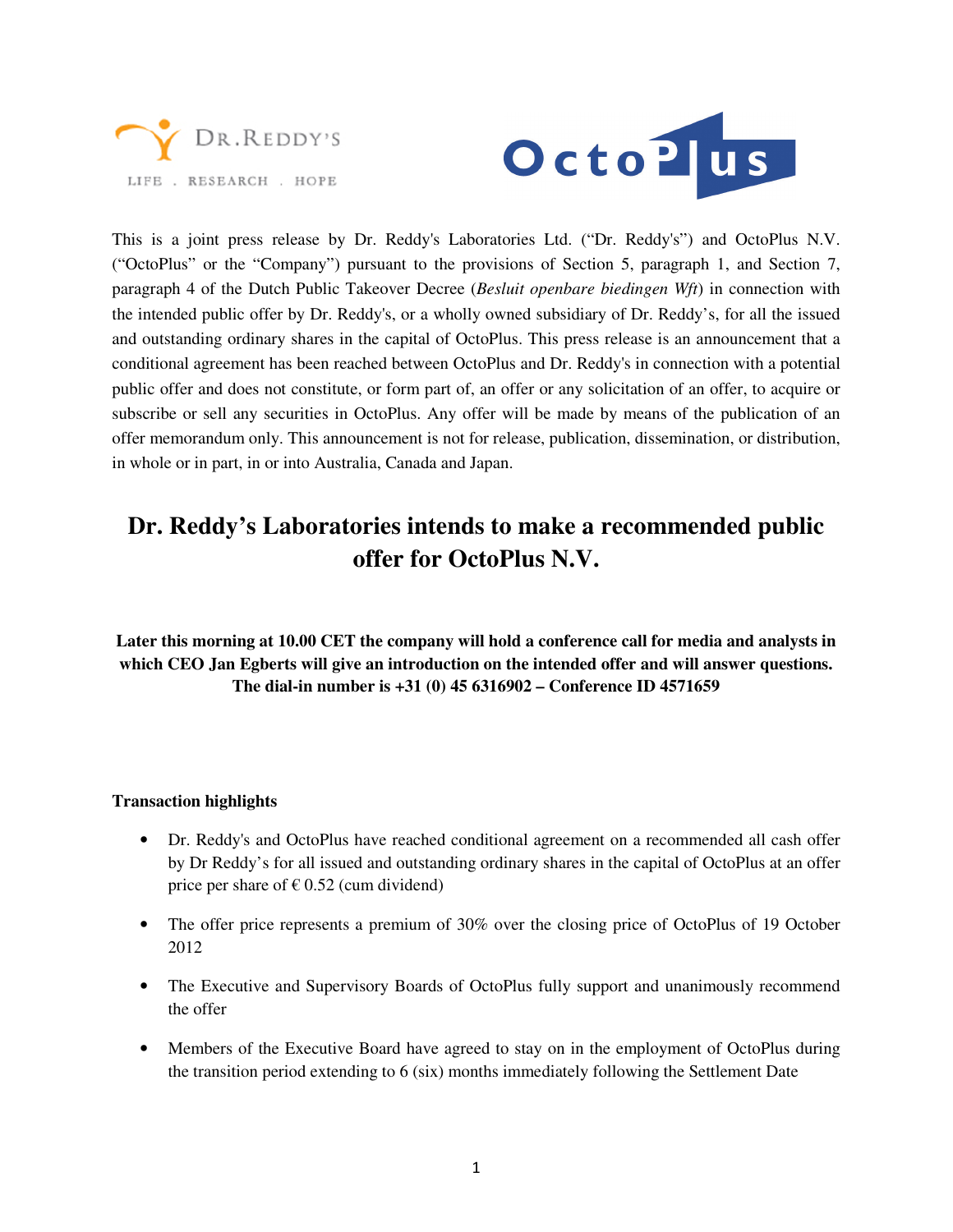



This is a joint press release by Dr. Reddy's Laboratories Ltd. ("Dr. Reddy's") and OctoPlus N.V. ("OctoPlus" or the "Company") pursuant to the provisions of Section 5, paragraph 1, and Section 7, paragraph 4 of the Dutch Public Takeover Decree (*Besluit openbare biedingen Wft*) in connection with the intended public offer by Dr. Reddy's, or a wholly owned subsidiary of Dr. Reddy's, for all the issued and outstanding ordinary shares in the capital of OctoPlus. This press release is an announcement that a conditional agreement has been reached between OctoPlus and Dr. Reddy's in connection with a potential public offer and does not constitute, or form part of, an offer or any solicitation of an offer, to acquire or subscribe or sell any securities in OctoPlus. Any offer will be made by means of the publication of an offer memorandum only. This announcement is not for release, publication, dissemination, or distribution, in whole or in part, in or into Australia, Canada and Japan.

# **Dr. Reddy's Laboratories intends to make a recommended public offer for OctoPlus N.V.**

**Later this morning at 10.00 CET the company will hold a conference call for media and analysts in which CEO Jan Egberts will give an introduction on the intended offer and will answer questions. The dial-in number is +31 (0) 45 6316902 – Conference ID 4571659** 

# **Transaction highlights**

- Dr. Reddy's and OctoPlus have reached conditional agreement on a recommended all cash offer by Dr Reddy's for all issued and outstanding ordinary shares in the capital of OctoPlus at an offer price per share of  $\epsilon$  0.52 (cum dividend)
- The offer price represents a premium of 30% over the closing price of OctoPlus of 19 October 2012
- The Executive and Supervisory Boards of OctoPlus fully support and unanimously recommend the offer
- Members of the Executive Board have agreed to stay on in the employment of OctoPlus during the transition period extending to 6 (six) months immediately following the Settlement Date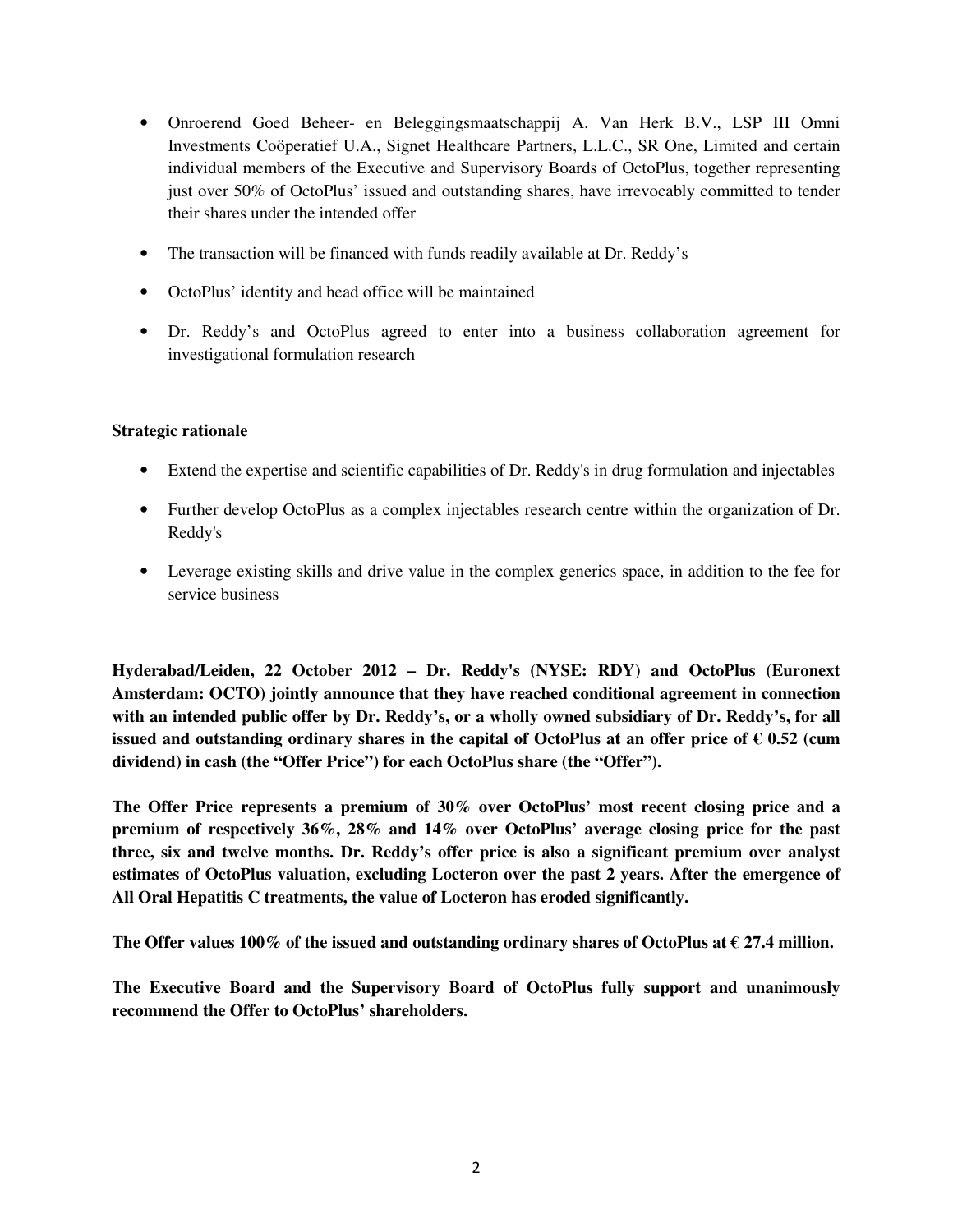- Onroerend Goed Beheer- en Beleggingsmaatschappij A. Van Herk B.V., LSP III Omni Investments Coöperatief U.A., Signet Healthcare Partners, L.L.C., SR One, Limited and certain individual members of the Executive and Supervisory Boards of OctoPlus, together representing just over 50% of OctoPlus' issued and outstanding shares, have irrevocably committed to tender their shares under the intended offer
- The transaction will be financed with funds readily available at Dr. Reddy's
- OctoPlus' identity and head office will be maintained
- Dr. Reddy's and OctoPlus agreed to enter into a business collaboration agreement for investigational formulation research

# **Strategic rationale**

- Extend the expertise and scientific capabilities of Dr. Reddy's in drug formulation and injectables
- Further develop OctoPlus as a complex injectables research centre within the organization of Dr. Reddy's
- Leverage existing skills and drive value in the complex generics space, in addition to the fee for service business

**Hyderabad/Leiden, 22 October 2012 – Dr. Reddy's (NYSE: RDY) and OctoPlus (Euronext Amsterdam: OCTO) jointly announce that they have reached conditional agreement in connection with an intended public offer by Dr. Reddy's, or a wholly owned subsidiary of Dr. Reddy's, for all**  issued and outstanding ordinary shares in the capital of OctoPlus at an offer price of  $\epsilon$  0.52 (cum **dividend) in cash (the "Offer Price") for each OctoPlus share (the "Offer").** 

**The Offer Price represents a premium of 30% over OctoPlus' most recent closing price and a premium of respectively 36%, 28% and 14% over OctoPlus' average closing price for the past three, six and twelve months. Dr. Reddy's offer price is also a significant premium over analyst estimates of OctoPlus valuation, excluding Locteron over the past 2 years. After the emergence of All Oral Hepatitis C treatments, the value of Locteron has eroded significantly.** 

The Offer values  $100\%$  of the issued and outstanding ordinary shares of OctoPlus at  $\epsilon$  27.4 million.

**The Executive Board and the Supervisory Board of OctoPlus fully support and unanimously recommend the Offer to OctoPlus' shareholders.**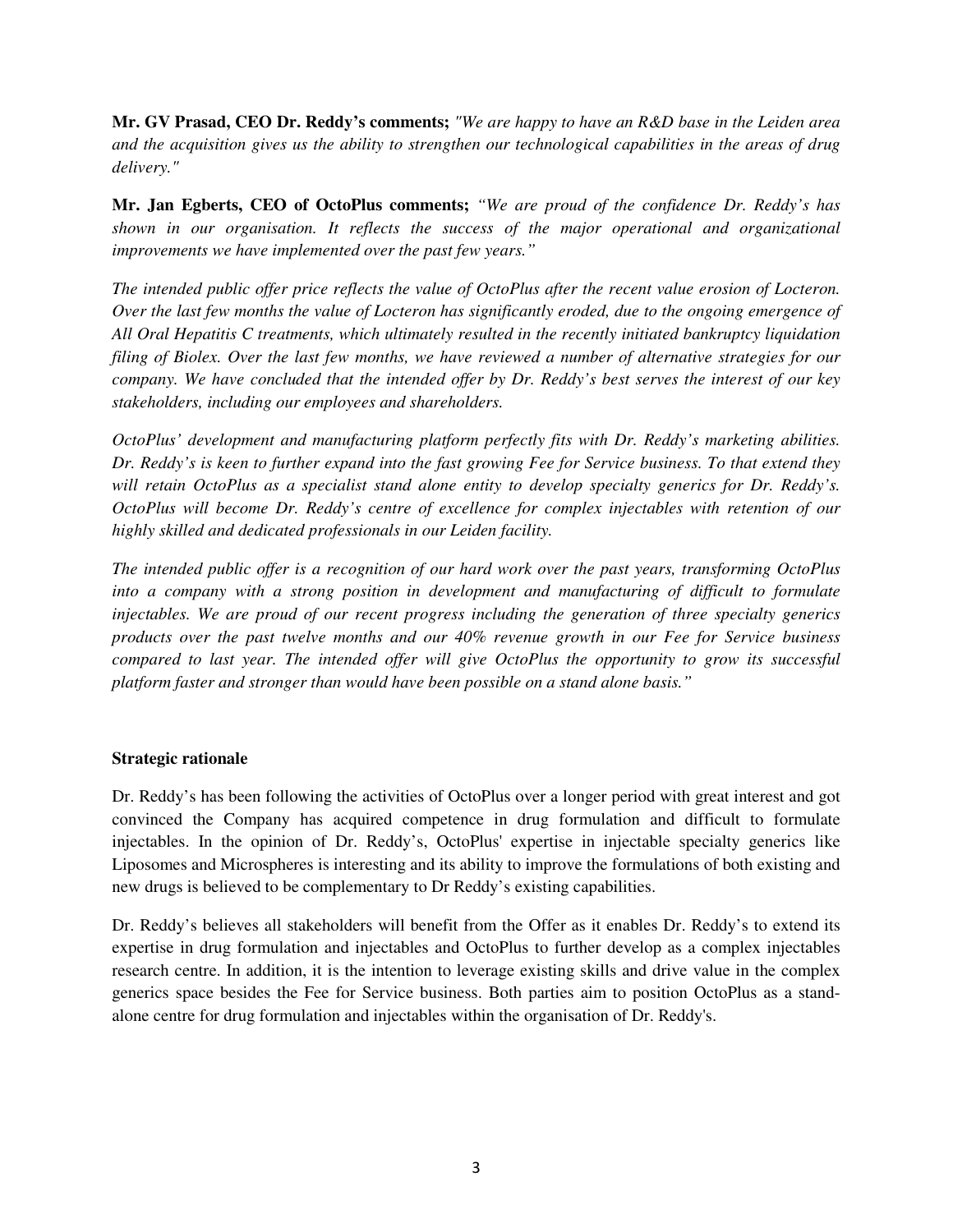**Mr. GV Prasad, CEO Dr. Reddy's comments;** *"We are happy to have an R&D base in the Leiden area and the acquisition gives us the ability to strengthen our technological capabilities in the areas of drug delivery."*

**Mr. Jan Egberts, CEO of OctoPlus comments;** *"We are proud of the confidence Dr. Reddy's has shown in our organisation. It reflects the success of the major operational and organizational improvements we have implemented over the past few years."* 

*The intended public offer price reflects the value of OctoPlus after the recent value erosion of Locteron. Over the last few months the value of Locteron has significantly eroded, due to the ongoing emergence of All Oral Hepatitis C treatments, which ultimately resulted in the recently initiated bankruptcy liquidation filing of Biolex. Over the last few months, we have reviewed a number of alternative strategies for our company. We have concluded that the intended offer by Dr. Reddy's best serves the interest of our key stakeholders, including our employees and shareholders.* 

*OctoPlus' development and manufacturing platform perfectly fits with Dr. Reddy's marketing abilities. Dr. Reddy's is keen to further expand into the fast growing Fee for Service business. To that extend they will retain OctoPlus as a specialist stand alone entity to develop specialty generics for Dr. Reddy's. OctoPlus will become Dr. Reddy's centre of excellence for complex injectables with retention of our highly skilled and dedicated professionals in our Leiden facility.* 

*The intended public offer is a recognition of our hard work over the past years, transforming OctoPlus into a company with a strong position in development and manufacturing of difficult to formulate injectables. We are proud of our recent progress including the generation of three specialty generics products over the past twelve months and our 40% revenue growth in our Fee for Service business compared to last year. The intended offer will give OctoPlus the opportunity to grow its successful platform faster and stronger than would have been possible on a stand alone basis."*

# **Strategic rationale**

Dr. Reddy's has been following the activities of OctoPlus over a longer period with great interest and got convinced the Company has acquired competence in drug formulation and difficult to formulate injectables. In the opinion of Dr. Reddy's, OctoPlus' expertise in injectable specialty generics like Liposomes and Microspheres is interesting and its ability to improve the formulations of both existing and new drugs is believed to be complementary to Dr Reddy's existing capabilities.

Dr. Reddy's believes all stakeholders will benefit from the Offer as it enables Dr. Reddy's to extend its expertise in drug formulation and injectables and OctoPlus to further develop as a complex injectables research centre. In addition, it is the intention to leverage existing skills and drive value in the complex generics space besides the Fee for Service business. Both parties aim to position OctoPlus as a standalone centre for drug formulation and injectables within the organisation of Dr. Reddy's.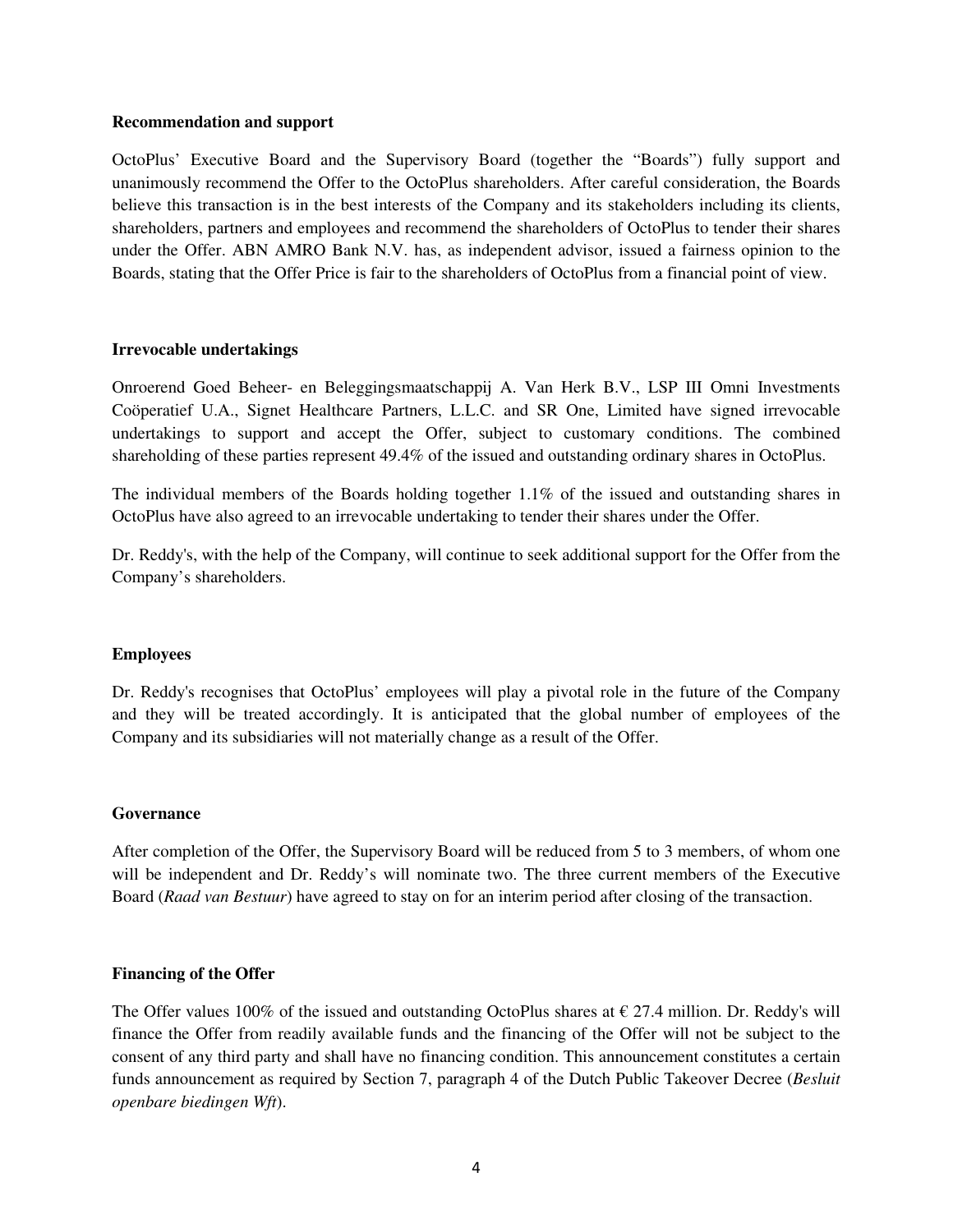#### **Recommendation and support**

OctoPlus' Executive Board and the Supervisory Board (together the "Boards") fully support and unanimously recommend the Offer to the OctoPlus shareholders. After careful consideration, the Boards believe this transaction is in the best interests of the Company and its stakeholders including its clients, shareholders, partners and employees and recommend the shareholders of OctoPlus to tender their shares under the Offer. ABN AMRO Bank N.V. has, as independent advisor, issued a fairness opinion to the Boards, stating that the Offer Price is fair to the shareholders of OctoPlus from a financial point of view.

# **Irrevocable undertakings**

Onroerend Goed Beheer- en Beleggingsmaatschappij A. Van Herk B.V., LSP III Omni Investments Coöperatief U.A., Signet Healthcare Partners, L.L.C. and SR One, Limited have signed irrevocable undertakings to support and accept the Offer, subject to customary conditions. The combined shareholding of these parties represent 49.4% of the issued and outstanding ordinary shares in OctoPlus.

The individual members of the Boards holding together 1.1% of the issued and outstanding shares in OctoPlus have also agreed to an irrevocable undertaking to tender their shares under the Offer.

Dr. Reddy's, with the help of the Company, will continue to seek additional support for the Offer from the Company's shareholders.

# **Employees**

Dr. Reddy's recognises that OctoPlus' employees will play a pivotal role in the future of the Company and they will be treated accordingly. It is anticipated that the global number of employees of the Company and its subsidiaries will not materially change as a result of the Offer.

## **Governance**

After completion of the Offer, the Supervisory Board will be reduced from 5 to 3 members, of whom one will be independent and Dr. Reddy's will nominate two. The three current members of the Executive Board (*Raad van Bestuur*) have agreed to stay on for an interim period after closing of the transaction.

## **Financing of the Offer**

The Offer values 100% of the issued and outstanding OctoPlus shares at  $\epsilon$  27.4 million. Dr. Reddy's will finance the Offer from readily available funds and the financing of the Offer will not be subject to the consent of any third party and shall have no financing condition. This announcement constitutes a certain funds announcement as required by Section 7, paragraph 4 of the Dutch Public Takeover Decree (*Besluit openbare biedingen Wft*).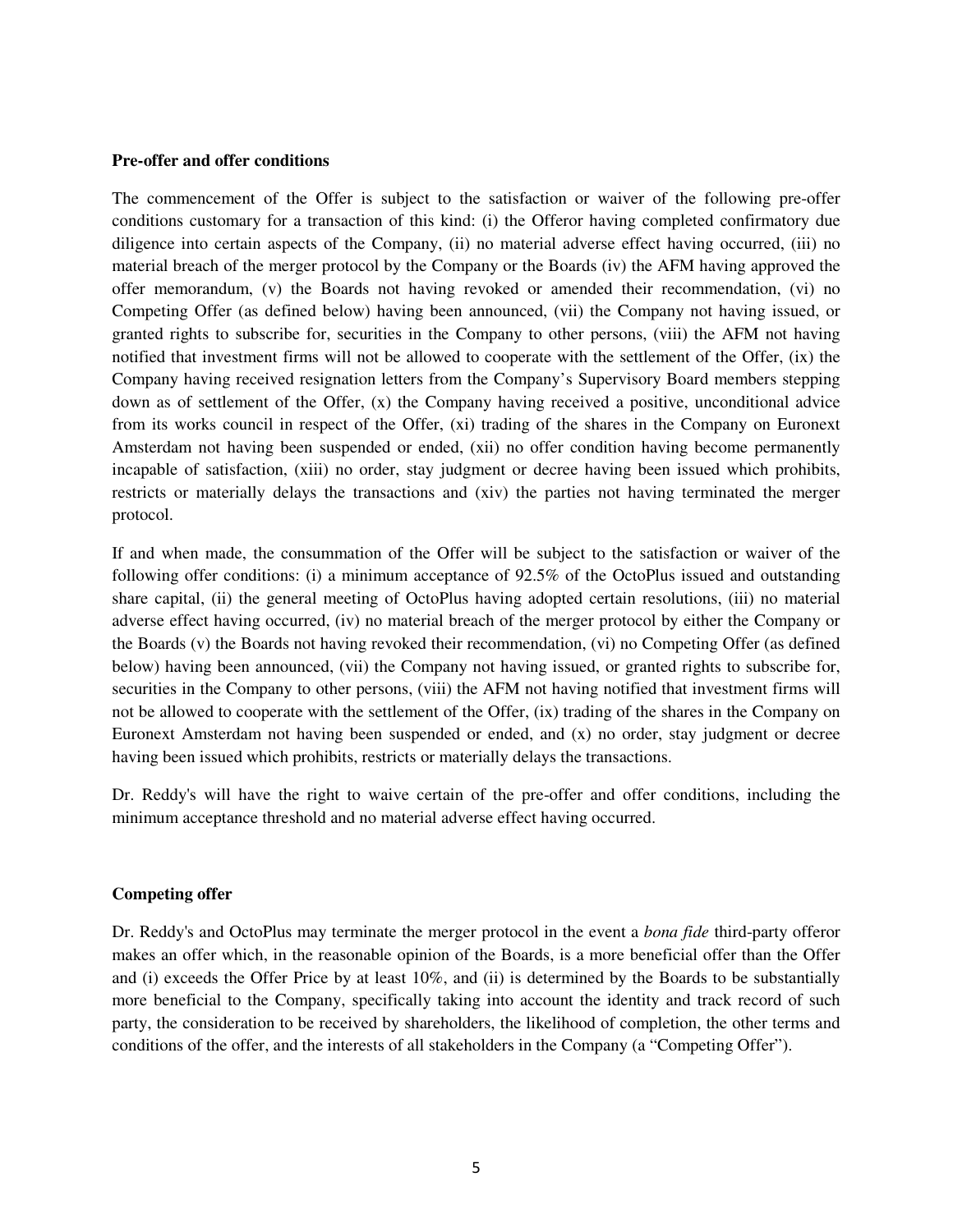#### **Pre-offer and offer conditions**

The commencement of the Offer is subject to the satisfaction or waiver of the following pre-offer conditions customary for a transaction of this kind: (i) the Offeror having completed confirmatory due diligence into certain aspects of the Company, (ii) no material adverse effect having occurred, (iii) no material breach of the merger protocol by the Company or the Boards (iv) the AFM having approved the offer memorandum, (v) the Boards not having revoked or amended their recommendation, (vi) no Competing Offer (as defined below) having been announced, (vii) the Company not having issued, or granted rights to subscribe for, securities in the Company to other persons, (viii) the AFM not having notified that investment firms will not be allowed to cooperate with the settlement of the Offer, (ix) the Company having received resignation letters from the Company's Supervisory Board members stepping down as of settlement of the Offer, (x) the Company having received a positive, unconditional advice from its works council in respect of the Offer, (xi) trading of the shares in the Company on Euronext Amsterdam not having been suspended or ended, (xii) no offer condition having become permanently incapable of satisfaction, (xiii) no order, stay judgment or decree having been issued which prohibits, restricts or materially delays the transactions and (xiv) the parties not having terminated the merger protocol.

If and when made, the consummation of the Offer will be subject to the satisfaction or waiver of the following offer conditions: (i) a minimum acceptance of 92.5% of the OctoPlus issued and outstanding share capital, (ii) the general meeting of OctoPlus having adopted certain resolutions, (iii) no material adverse effect having occurred, (iv) no material breach of the merger protocol by either the Company or the Boards (v) the Boards not having revoked their recommendation, (vi) no Competing Offer (as defined below) having been announced, (vii) the Company not having issued, or granted rights to subscribe for, securities in the Company to other persons, (viii) the AFM not having notified that investment firms will not be allowed to cooperate with the settlement of the Offer, (ix) trading of the shares in the Company on Euronext Amsterdam not having been suspended or ended, and (x) no order, stay judgment or decree having been issued which prohibits, restricts or materially delays the transactions.

Dr. Reddy's will have the right to waive certain of the pre-offer and offer conditions, including the minimum acceptance threshold and no material adverse effect having occurred.

## **Competing offer**

Dr. Reddy's and OctoPlus may terminate the merger protocol in the event a *bona fide* third-party offeror makes an offer which, in the reasonable opinion of the Boards, is a more beneficial offer than the Offer and (i) exceeds the Offer Price by at least 10%, and (ii) is determined by the Boards to be substantially more beneficial to the Company, specifically taking into account the identity and track record of such party, the consideration to be received by shareholders, the likelihood of completion, the other terms and conditions of the offer, and the interests of all stakeholders in the Company (a "Competing Offer").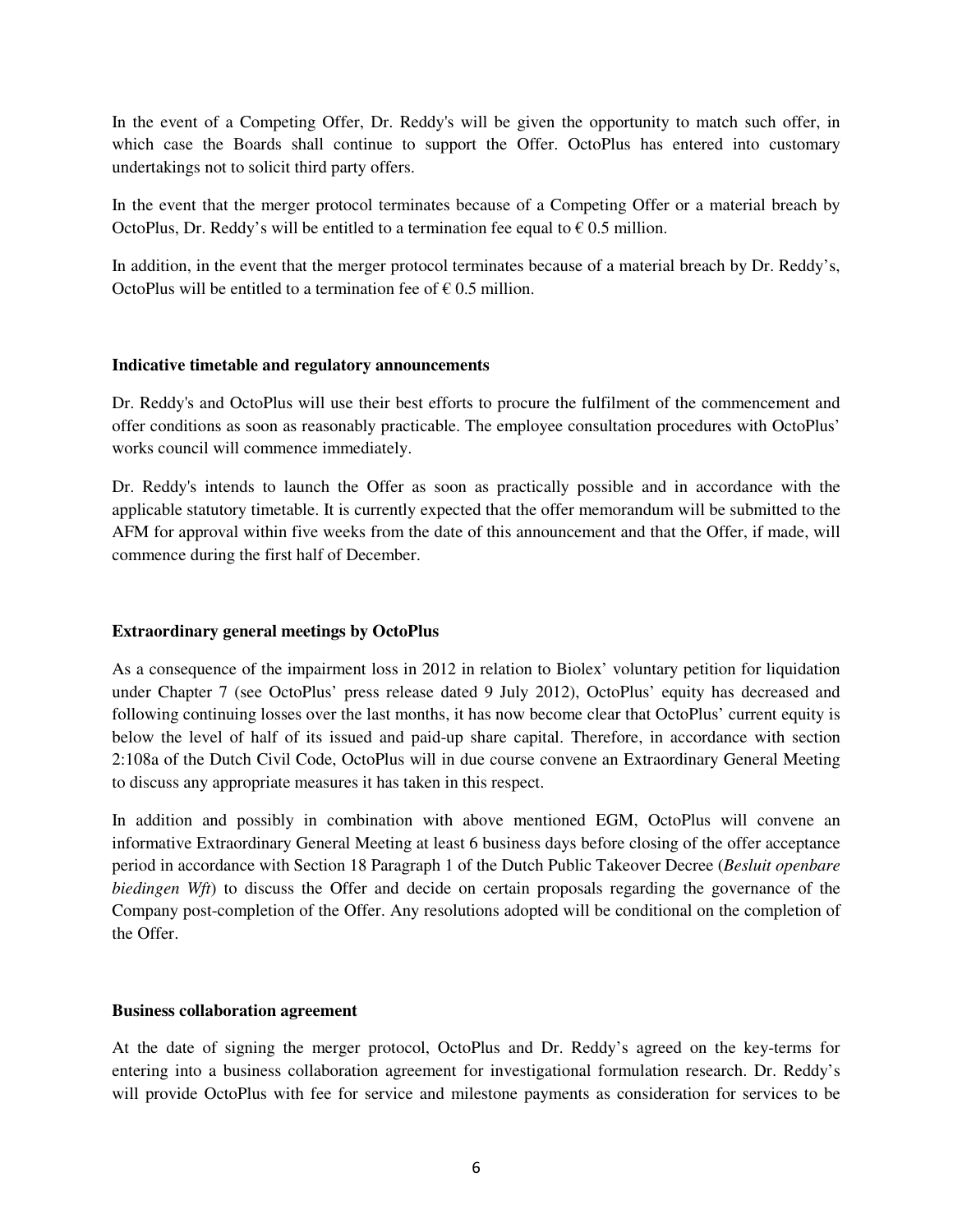In the event of a Competing Offer, Dr. Reddy's will be given the opportunity to match such offer, in which case the Boards shall continue to support the Offer. OctoPlus has entered into customary undertakings not to solicit third party offers.

In the event that the merger protocol terminates because of a Competing Offer or a material breach by OctoPlus, Dr. Reddy's will be entitled to a termination fee equal to  $\epsilon$  0.5 million.

In addition, in the event that the merger protocol terminates because of a material breach by Dr. Reddy's, OctoPlus will be entitled to a termination fee of  $\epsilon$  0.5 million.

# **Indicative timetable and regulatory announcements**

Dr. Reddy's and OctoPlus will use their best efforts to procure the fulfilment of the commencement and offer conditions as soon as reasonably practicable. The employee consultation procedures with OctoPlus' works council will commence immediately.

Dr. Reddy's intends to launch the Offer as soon as practically possible and in accordance with the applicable statutory timetable. It is currently expected that the offer memorandum will be submitted to the AFM for approval within five weeks from the date of this announcement and that the Offer, if made, will commence during the first half of December.

# **Extraordinary general meetings by OctoPlus**

As a consequence of the impairment loss in 2012 in relation to Biolex' voluntary petition for liquidation under Chapter 7 (see OctoPlus' press release dated 9 July 2012), OctoPlus' equity has decreased and following continuing losses over the last months, it has now become clear that OctoPlus' current equity is below the level of half of its issued and paid-up share capital. Therefore, in accordance with section 2:108a of the Dutch Civil Code, OctoPlus will in due course convene an Extraordinary General Meeting to discuss any appropriate measures it has taken in this respect.

In addition and possibly in combination with above mentioned EGM, OctoPlus will convene an informative Extraordinary General Meeting at least 6 business days before closing of the offer acceptance period in accordance with Section 18 Paragraph 1 of the Dutch Public Takeover Decree (*Besluit openbare biedingen Wft*) to discuss the Offer and decide on certain proposals regarding the governance of the Company post-completion of the Offer. Any resolutions adopted will be conditional on the completion of the Offer.

# **Business collaboration agreement**

At the date of signing the merger protocol, OctoPlus and Dr. Reddy's agreed on the key-terms for entering into a business collaboration agreement for investigational formulation research. Dr. Reddy's will provide OctoPlus with fee for service and milestone payments as consideration for services to be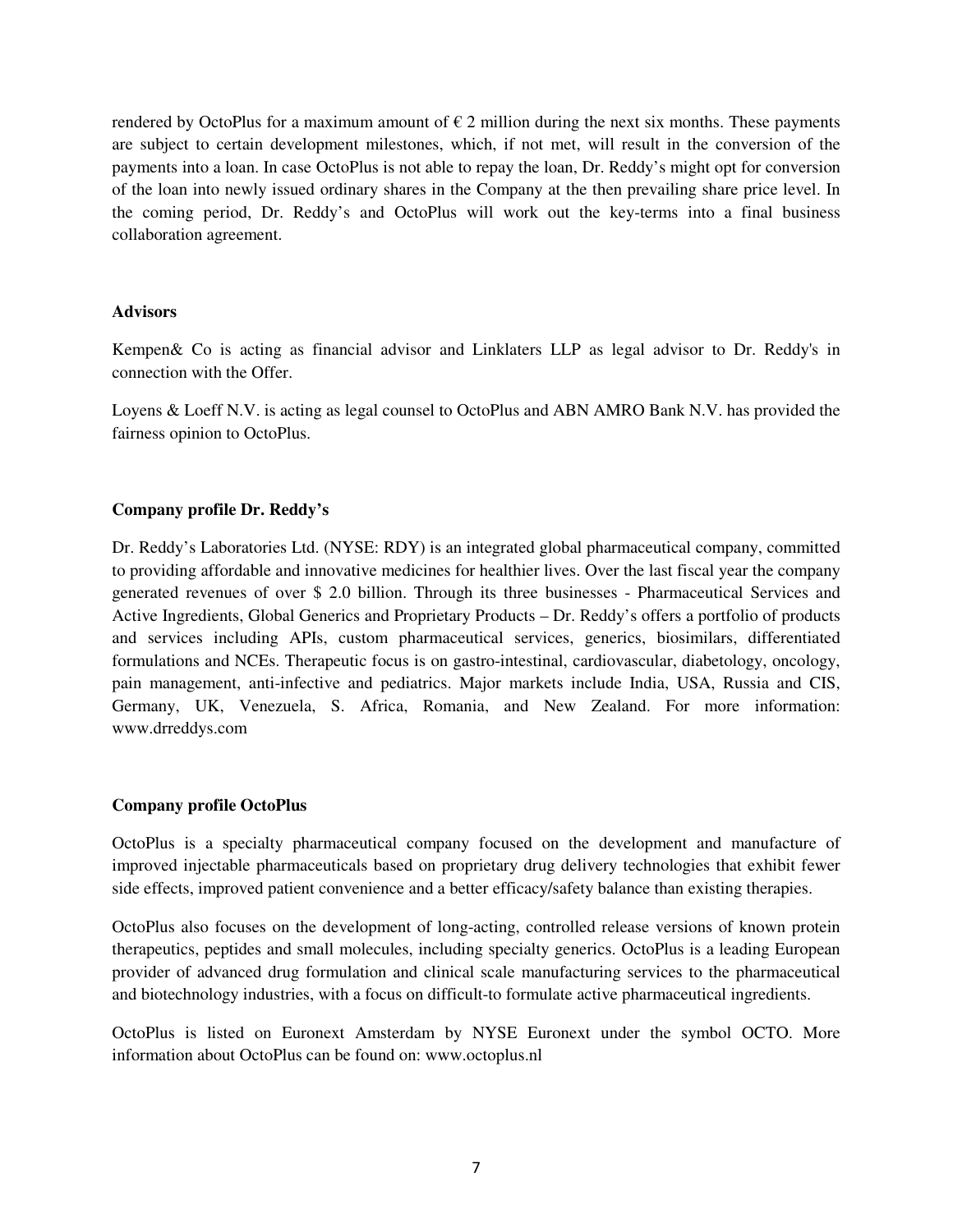rendered by OctoPlus for a maximum amount of  $\epsilon$  2 million during the next six months. These payments are subject to certain development milestones, which, if not met, will result in the conversion of the payments into a loan. In case OctoPlus is not able to repay the loan, Dr. Reddy's might opt for conversion of the loan into newly issued ordinary shares in the Company at the then prevailing share price level. In the coming period, Dr. Reddy's and OctoPlus will work out the key-terms into a final business collaboration agreement.

# **Advisors**

Kempen& Co is acting as financial advisor and Linklaters LLP as legal advisor to Dr. Reddy's in connection with the Offer.

Loyens & Loeff N.V. is acting as legal counsel to OctoPlus and ABN AMRO Bank N.V. has provided the fairness opinion to OctoPlus.

# **Company profile Dr. Reddy's**

Dr. Reddy's Laboratories Ltd. (NYSE: RDY) is an integrated global pharmaceutical company, committed to providing affordable and innovative medicines for healthier lives. Over the last fiscal year the company generated revenues of over \$ 2.0 billion. Through its three businesses - Pharmaceutical Services and Active Ingredients, Global Generics and Proprietary Products – Dr. Reddy's offers a portfolio of products and services including APIs, custom pharmaceutical services, generics, biosimilars, differentiated formulations and NCEs. Therapeutic focus is on gastro-intestinal, cardiovascular, diabetology, oncology, pain management, anti-infective and pediatrics. Major markets include India, USA, Russia and CIS, Germany, UK, Venezuela, S. Africa, Romania, and New Zealand. For more information: www.drreddys.com

# **Company profile OctoPlus**

OctoPlus is a specialty pharmaceutical company focused on the development and manufacture of improved injectable pharmaceuticals based on proprietary drug delivery technologies that exhibit fewer side effects, improved patient convenience and a better efficacy/safety balance than existing therapies.

OctoPlus also focuses on the development of long-acting, controlled release versions of known protein therapeutics, peptides and small molecules, including specialty generics. OctoPlus is a leading European provider of advanced drug formulation and clinical scale manufacturing services to the pharmaceutical and biotechnology industries, with a focus on difficult-to formulate active pharmaceutical ingredients.

OctoPlus is listed on Euronext Amsterdam by NYSE Euronext under the symbol OCTO. More information about OctoPlus can be found on: www.octoplus.nl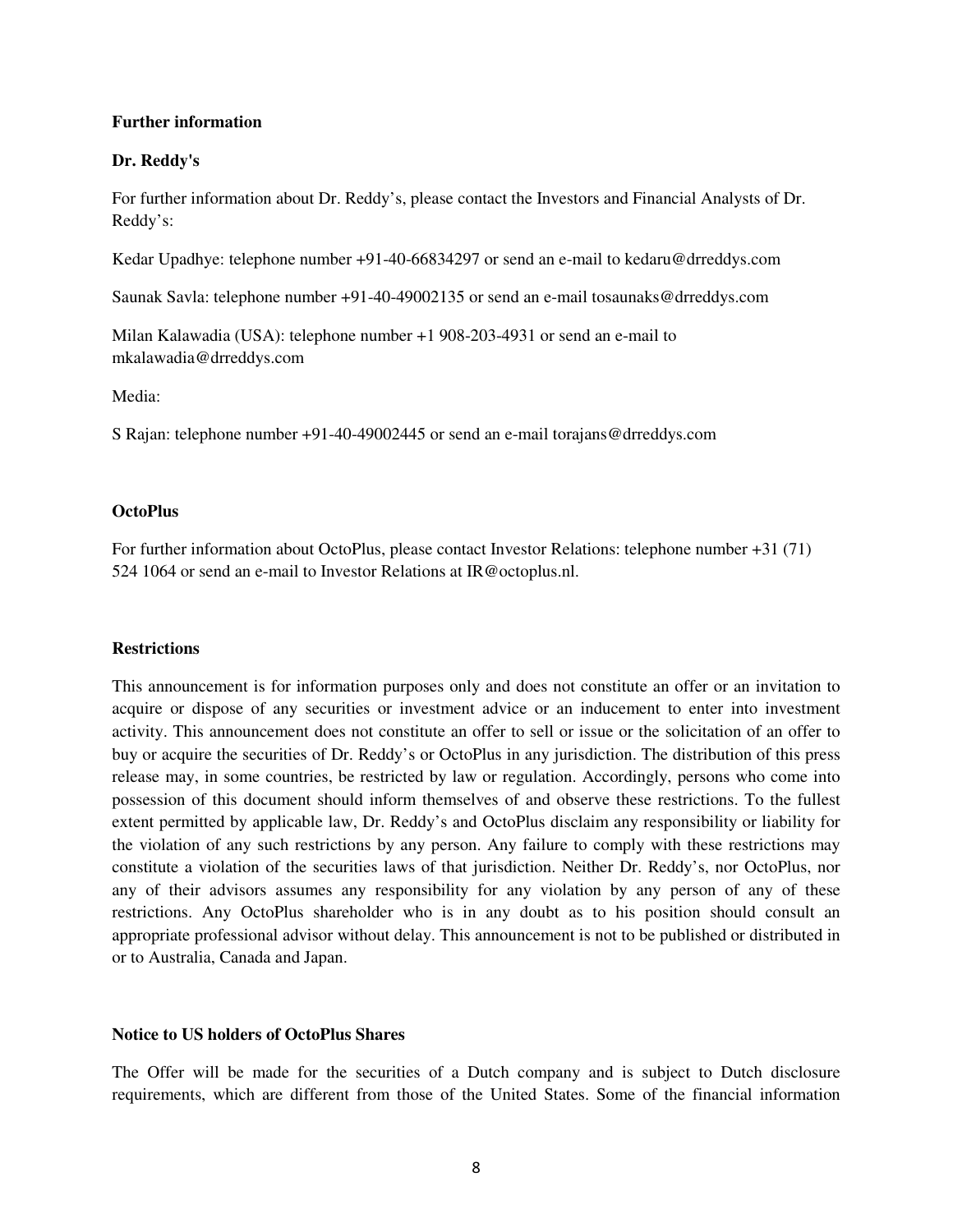#### **Further information**

#### **Dr. Reddy's**

For further information about Dr. Reddy's, please contact the Investors and Financial Analysts of Dr. Reddy's:

Kedar Upadhye: telephone number +91-40-66834297 or send an e-mail to kedaru@drreddys.com

Saunak Savla: telephone number +91-40-49002135 or send an e-mail tosaunaks@drreddys.com

Milan Kalawadia (USA): telephone number +1 908-203-4931 or send an e-mail to mkalawadia@drreddys.com

Media:

S Rajan: telephone number +91-40-49002445 or send an e-mail torajans@drreddys.com

#### **OctoPlus**

For further information about OctoPlus, please contact Investor Relations: telephone number +31 (71) 524 1064 or send an e-mail to Investor Relations at IR@octoplus.nl.

#### **Restrictions**

This announcement is for information purposes only and does not constitute an offer or an invitation to acquire or dispose of any securities or investment advice or an inducement to enter into investment activity. This announcement does not constitute an offer to sell or issue or the solicitation of an offer to buy or acquire the securities of Dr. Reddy's or OctoPlus in any jurisdiction. The distribution of this press release may, in some countries, be restricted by law or regulation. Accordingly, persons who come into possession of this document should inform themselves of and observe these restrictions. To the fullest extent permitted by applicable law, Dr. Reddy's and OctoPlus disclaim any responsibility or liability for the violation of any such restrictions by any person. Any failure to comply with these restrictions may constitute a violation of the securities laws of that jurisdiction. Neither Dr. Reddy's, nor OctoPlus, nor any of their advisors assumes any responsibility for any violation by any person of any of these restrictions. Any OctoPlus shareholder who is in any doubt as to his position should consult an appropriate professional advisor without delay. This announcement is not to be published or distributed in or to Australia, Canada and Japan.

#### **Notice to US holders of OctoPlus Shares**

The Offer will be made for the securities of a Dutch company and is subject to Dutch disclosure requirements, which are different from those of the United States. Some of the financial information